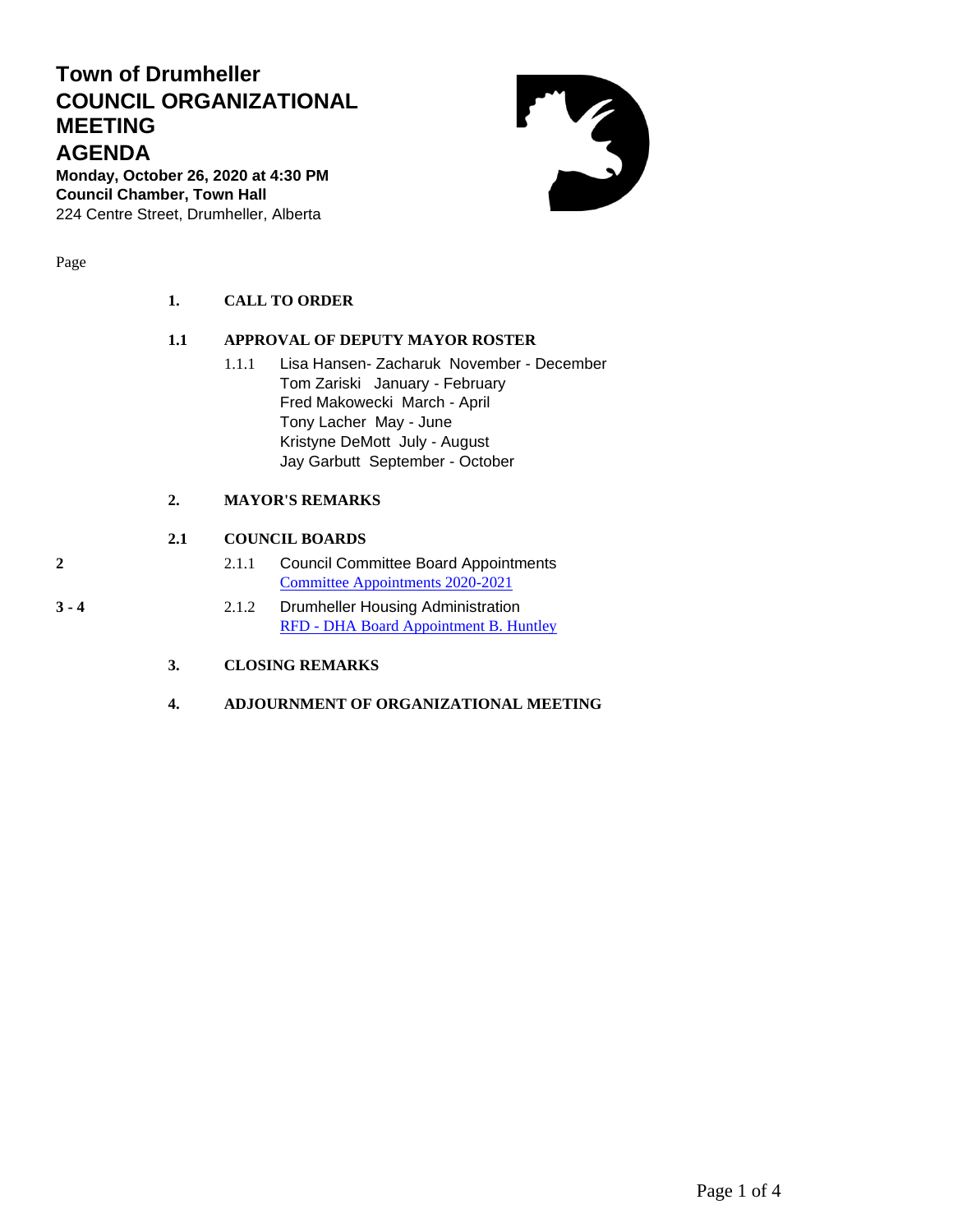# **Town of Drumheller COUNCIL ORGANIZATIONAL MEETING AGENDA**

**Monday, October 26, 2020 at 4:30 PM Council Chamber, Town Hall**  224 Centre Street, Drumheller, Alberta

Page

| 1.  | <b>CALL TO ORDER</b>            |
|-----|---------------------------------|
| 1.1 | APPROVAL OF DEPUTY MAYOR ROSTER |

1.1.1 Lisa Hansen- Zacharuk November - December Tom Zariski January - February Fred Makowecki March - April Tony Lacher May - June Kristyne DeMott July - August Jay Garbutt September - October

## **2. MAYOR'S REMARKS**

## **2.1 COUNCIL BOARDS**

- **2** 2.1.1 Council Committee Board Appointments [Committee Appointments 2020-2021](#page-1-0)
- **3 - 4** 2.1.2 Drumheller Housing Administration RFD - [DHA Board Appointment B. Huntley](#page-2-0)

**3. CLOSING REMARKS**

**4. ADJOURNMENT OF ORGANIZATIONAL MEETING**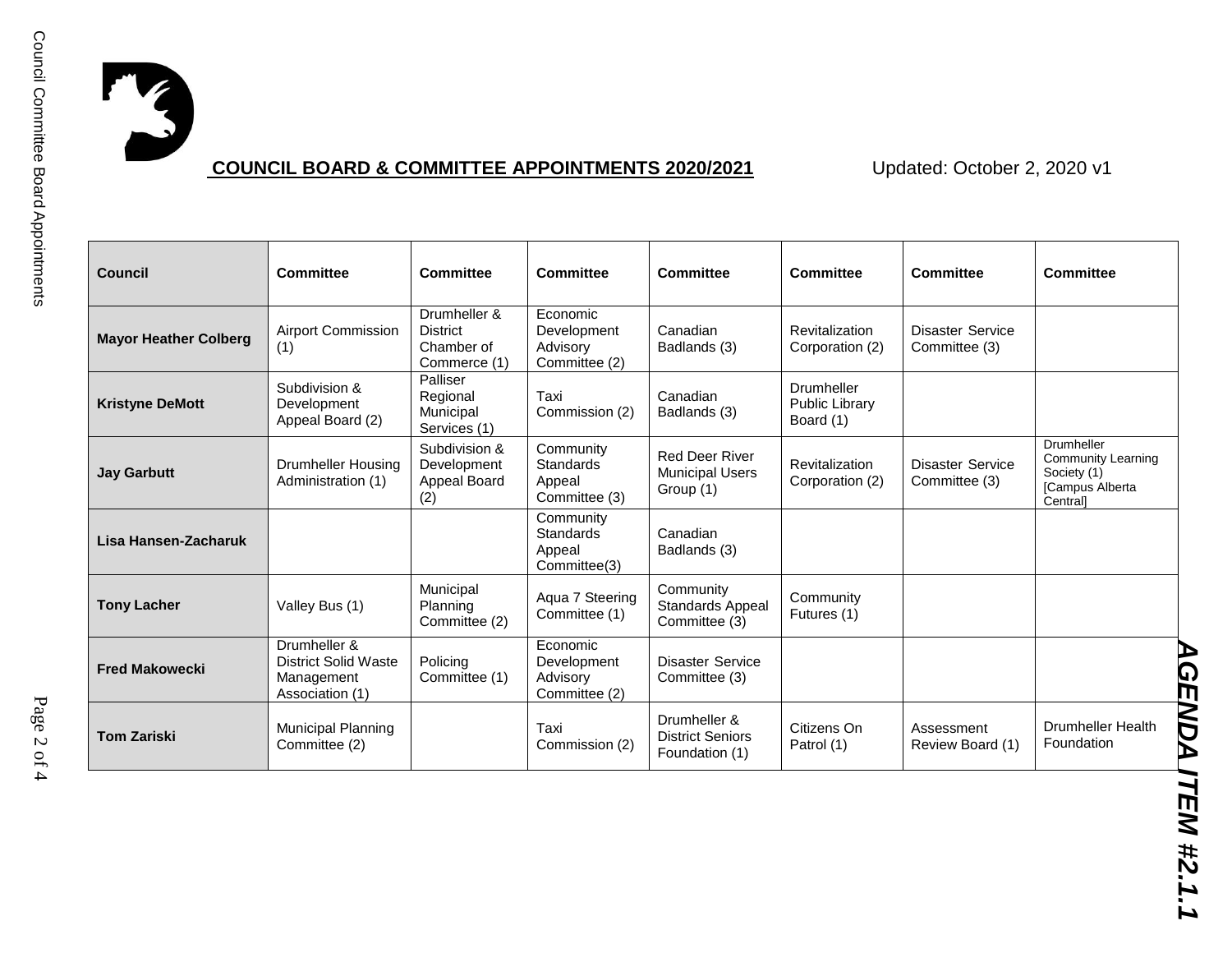

# **COUNCIL BOARD & COMMITTEE APPOINTMENTS 2020/2021** Updated: October 2, 2020 v1

<span id="page-1-0"></span>

| <b>Council</b>               | <b>Committee</b>                                                             | <b>Committee</b>                                              | <b>Committee</b>                                         | <b>Committee</b>                                             | <b>Committee</b>                                 | <b>Committee</b>                         | <b>Committee</b>                                                               |
|------------------------------|------------------------------------------------------------------------------|---------------------------------------------------------------|----------------------------------------------------------|--------------------------------------------------------------|--------------------------------------------------|------------------------------------------|--------------------------------------------------------------------------------|
| <b>Mayor Heather Colberg</b> | <b>Airport Commission</b><br>(1)                                             | Drumheller &<br><b>District</b><br>Chamber of<br>Commerce (1) | Economic<br>Development<br>Advisory<br>Committee (2)     | Canadian<br>Badlands (3)                                     | <b>Revitalization</b><br>Corporation (2)         | <b>Disaster Service</b><br>Committee (3) |                                                                                |
| <b>Kristyne DeMott</b>       | Subdivision &<br>Development<br>Appeal Board (2)                             | Palliser<br>Regional<br>Municipal<br>Services (1)             | Taxi<br>Commission (2)                                   | Canadian<br>Badlands (3)                                     | Drumheller<br><b>Public Library</b><br>Board (1) |                                          |                                                                                |
| <b>Jay Garbutt</b>           | Drumheller Housing<br>Administration (1)                                     | Subdivision &<br>Development<br>Appeal Board<br>(2)           | Community<br><b>Standards</b><br>Appeal<br>Committee (3) | <b>Red Deer River</b><br><b>Municipal Users</b><br>Group (1) | <b>Revitalization</b><br>Corporation (2)         | <b>Disaster Service</b><br>Committee (3) | Drumheller<br>Community Learning<br>Society (1)<br>[Campus Alberta<br>Centrall |
| Lisa Hansen-Zacharuk         |                                                                              |                                                               | Community<br><b>Standards</b><br>Appeal<br>Committee(3)  | Canadian<br>Badlands (3)                                     |                                                  |                                          |                                                                                |
| <b>Tony Lacher</b>           | Valley Bus (1)                                                               | Municipal<br>Planning<br>Committee (2)                        | Aqua 7 Steering<br>Committee (1)                         | Community<br>Standards Appeal<br>Committee (3)               | Community<br>Futures (1)                         |                                          |                                                                                |
| <b>Fred Makowecki</b>        | Drumheller &<br><b>District Solid Waste</b><br>Management<br>Association (1) | Policina<br>Committee (1)                                     | Economic<br>Development<br>Advisory<br>Committee (2)     | <b>Disaster Service</b><br>Committee (3)                     |                                                  |                                          |                                                                                |
| <b>Tom Zariski</b>           | Municipal Planning<br>Committee (2)                                          |                                                               | Taxi<br>Commission (2)                                   | Drumheller &<br><b>District Seniors</b><br>Foundation (1)    | Citizens On<br>Patrol (1)                        | Assessment<br>Review Board (1)           | <b>Drumheller Health</b><br>Foundation                                         |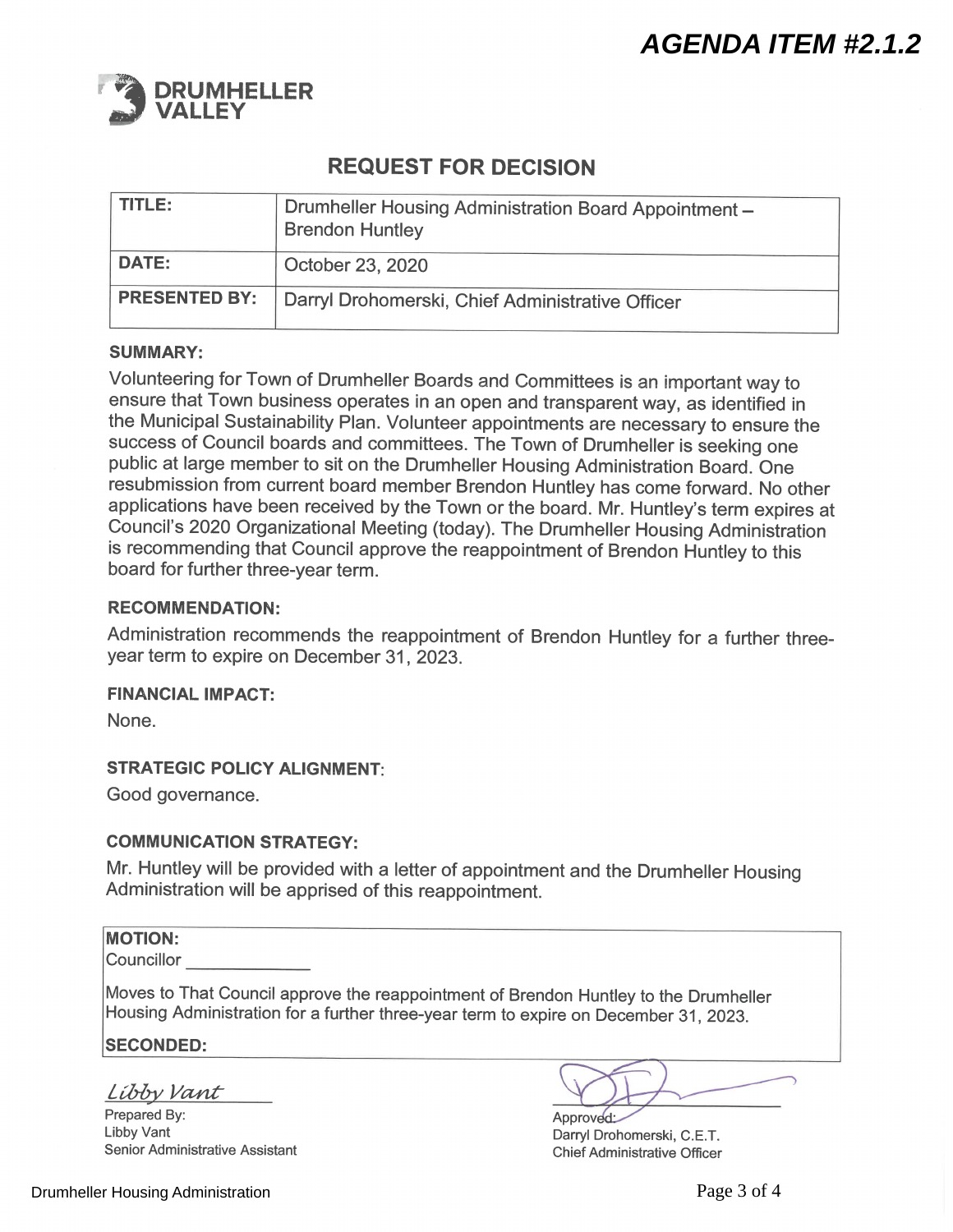<span id="page-2-0"></span>

# **REQUEST FOR DECISION**

| TITLE:       | Drumheller Housing Administration Board Appointment -<br><b>Brendon Huntley</b> |
|--------------|---------------------------------------------------------------------------------|
| <b>DATE:</b> | October 23, 2020                                                                |
|              | <b>PRESENTED BY:</b>   Darryl Drohomerski, Chief Administrative Officer         |

### **SUMMARY:**

Volunteering for Town of Drumheller Boards and Committees is an important way to ensure that Town business operates in an open and transparent way, as identified in the Municipal Sustainability Plan. Volunteer appointments are necessary to ensure the success of Council boards and committees. The Town of Drumheller is seeking one public at large member to sit on the Drumheller Housing Administration Board. One resubmission from current board member Brendon Huntley has come forward. No other applications have been received by the Town or the board. Mr. Huntley's term expires at Council's 2020 Organizational Meeting (today). The Drumheller Housing Administration is recommending that Council approve the reappointment of Brendon Huntley to this board for further three-year term.

#### **RECOMMENDATION:**

Administration recommends the reappointment of Brendon Huntley for a further threeyear term to expire on December 31, 2023.

### **FINANCIAL IMPACT:**

None.

### **STRATEGIC POLICY ALIGNMENT:**

Good governance.

#### **COMMUNICATION STRATEGY:**

Mr. Huntley will be provided with a letter of appointment and the Drumheller Housing Administration will be apprised of this reappointment.

#### **MOTION:**

Councillor

Moves to That Council approve the reappointment of Brendon Huntley to the Drumheller Housing Administration for a further three-year term to expire on December 31, 2023.

**SECONDED:** 

Libby Vant

Prepared By: Libby Vant Senior Administrative Assistant

Approved: Darryl Drohomerski, C.E.T. **Chief Administrative Officer**